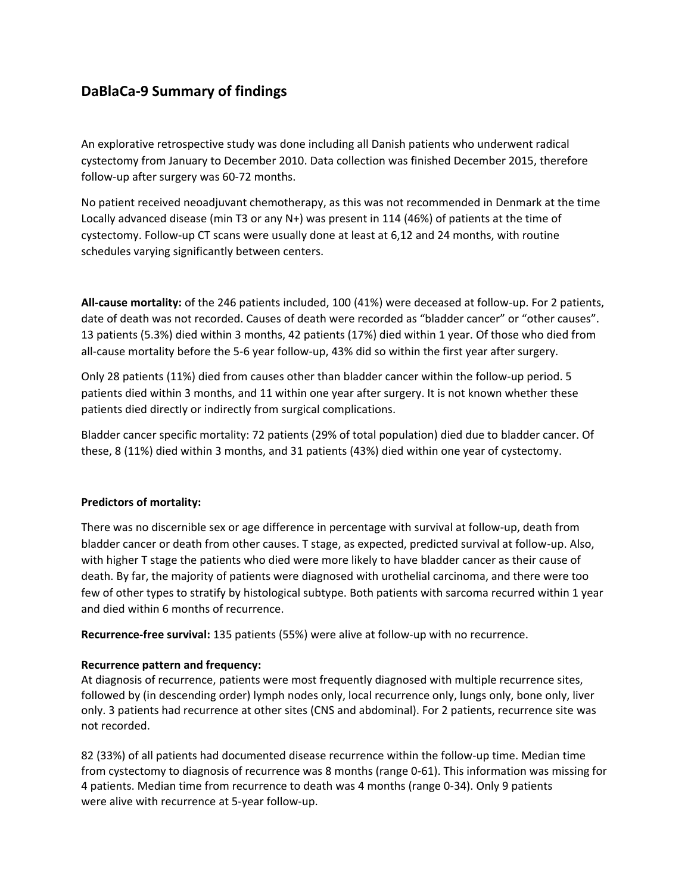# **DaBlaCa-9 Summary of findings**

An explorative retrospective study was done including all Danish patients who underwent radical cystectomy from January to December 2010. Data collection was finished December 2015, therefore follow-up after surgery was 60-72 months.

No patient received neoadjuvant chemotherapy, as this was not recommended in Denmark at the time Locally advanced disease (min T3 or any N+) was present in 114 (46%) of patients at the time of cystectomy. Follow-up CT scans were usually done at least at 6,12 and 24 months, with routine schedules varying significantly between centers.

**All-cause mortality:** of the 246 patients included, 100 (41%) were deceased at follow-up. For 2 patients, date of death was not recorded. Causes of death were recorded as "bladder cancer" or "other causes". 13 patients (5.3%) died within 3 months, 42 patients (17%) died within 1 year. Of those who died from all-cause mortality before the 5-6 year follow-up, 43% did so within the first year after surgery.

Only 28 patients (11%) died from causes other than bladder cancer within the follow-up period. 5 patients died within 3 months, and 11 within one year after surgery. It is not known whether these patients died directly or indirectly from surgical complications.

Bladder cancer specific mortality: 72 patients (29% of total population) died due to bladder cancer. Of these, 8 (11%) died within 3 months, and 31 patients (43%) died within one year of cystectomy.

## **Predictors of mortality:**

There was no discernible sex or age difference in percentage with survival at follow-up, death from bladder cancer or death from other causes. T stage, as expected, predicted survival at follow-up. Also, with higher T stage the patients who died were more likely to have bladder cancer as their cause of death. By far, the majority of patients were diagnosed with urothelial carcinoma, and there were too few of other types to stratify by histological subtype. Both patients with sarcoma recurred within 1 year and died within 6 months of recurrence.

**Recurrence-free survival:** 135 patients (55%) were alive at follow-up with no recurrence.

## **Recurrence pattern and frequency:**

At diagnosis of recurrence, patients were most frequently diagnosed with multiple recurrence sites, followed by (in descending order) lymph nodes only, local recurrence only, lungs only, bone only, liver only. 3 patients had recurrence at other sites (CNS and abdominal). For 2 patients, recurrence site was not recorded.

82 (33%) of all patients had documented disease recurrence within the follow-up time. Median time from cystectomy to diagnosis of recurrence was 8 months (range 0-61). This information was missing for 4 patients. Median time from recurrence to death was 4 months (range 0-34). Only 9 patients were alive with recurrence at 5-year follow-up.